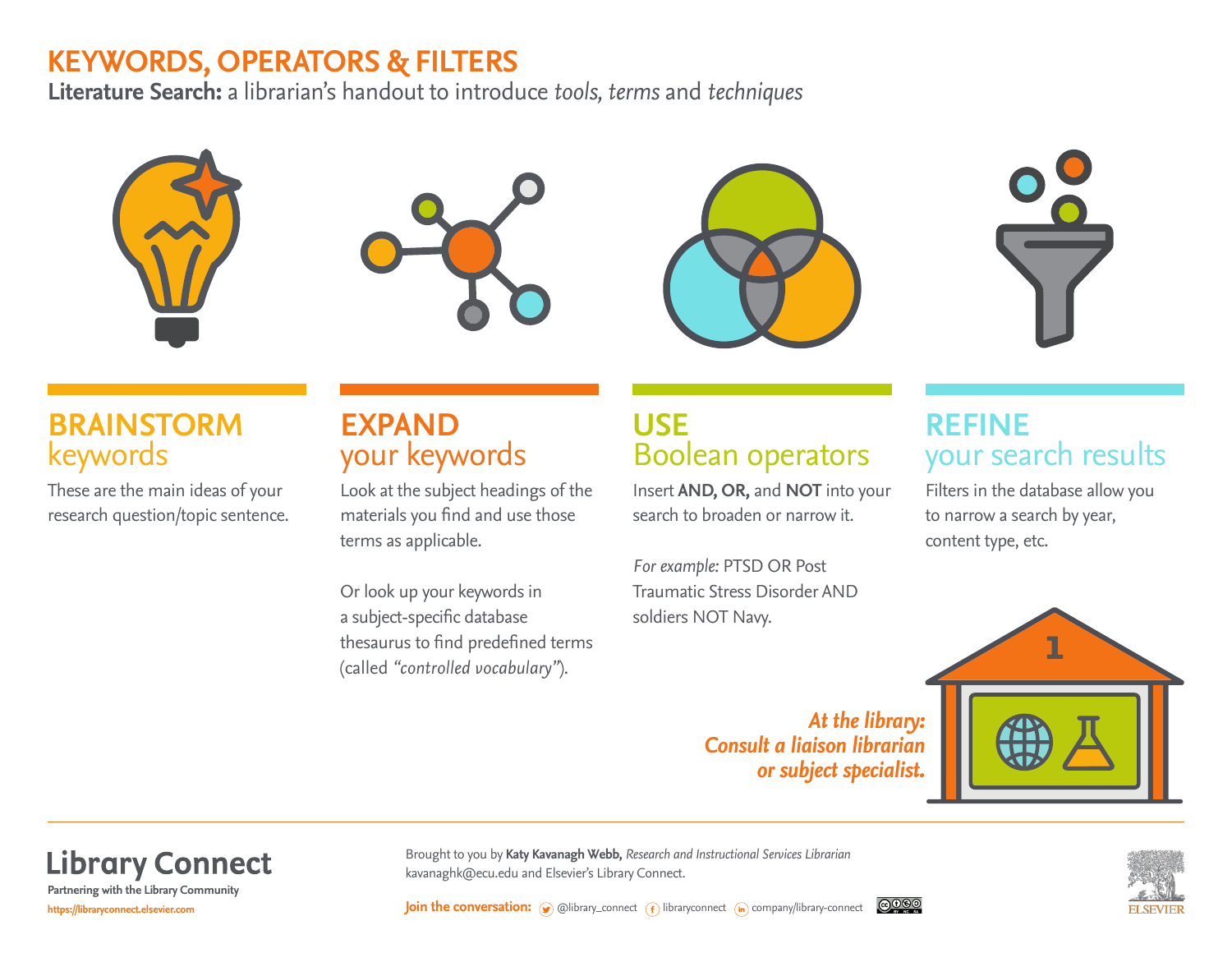# **KEYWORDS, OPERATORS & FILTERS**

**Literature Search:** a librarian's handout to introduce *tools, terms* and *techniques*









# **BRAINSTORM** keywords

These are the main ideas of your research question/topic sentence.

# **EXPAND**  your keywords

Look at the subject headings of the materials you find and use those terms as applicable.

Or look up your keywords in a subject-specific database thesaurus to find predefined terms (called *"controlled vocabulary"*).

# **USE** Boolean operators

Insert **AND, OR,** and **NOT** into your search to broaden or narrow it.

*For example:* PTSD OR Post Traumatic Stress Disorder AND soldiers NOT Navy.

> *At the library: Consult a liaison librarian or subject specialist.*

# **REFINE** your search results

Filters in the database allow you to narrow a search by year, content type, etc.



**Library Connect** 

**https://libraryconnect.elsevier.com Partnering with the Library Community**

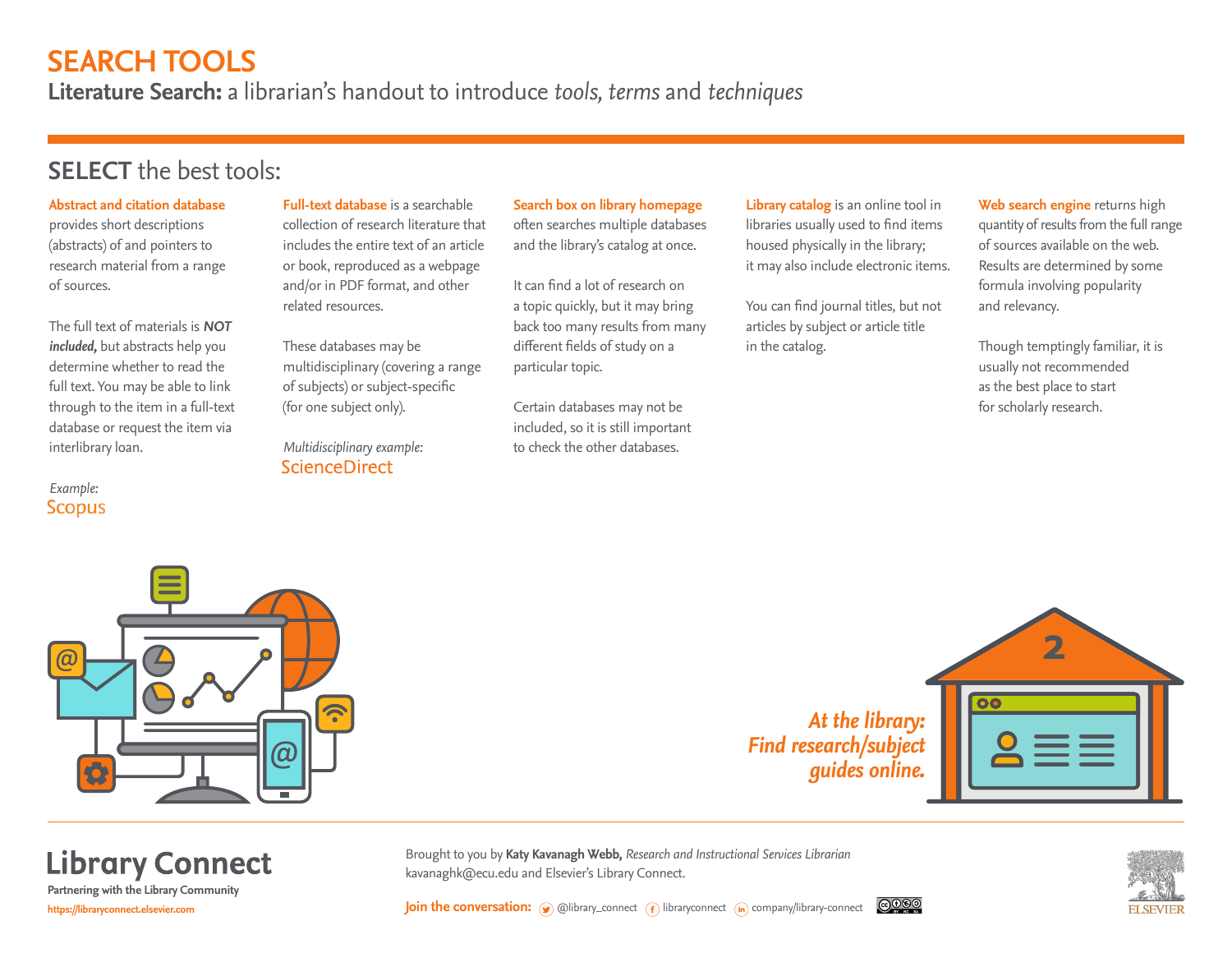# **SEARCH TOOLS**

**Literature Search:** a librarian's handout to introduce *tools, terms* and *techniques*

### **SELECT** the best tools:

#### **Abstract and citation database** provides short descriptions (abstracts) of and pointers to research material from a range of sources.

The full text of materials is *NOT included,* but abstracts help you determine whether to read the full text. You may be able to link through to the item in a full-text database or request the item via interlibrary loan.

*Example:* **Scopus** 

**Full-text database** is a searchable collection of research literature that includes the entire text of an article or book, reproduced as a webpage and/or in PDF format, and other related resources.

These databases may be multidisciplinary (covering a range of subjects) or subject-specific (for one subject only).

*Multidisciplinary example:* **ScienceDirect** 

**Search box on library homepage**

often searches multiple databases and the library's catalog at once.

It can find a lot of research on a topic quickly, but it may bring back too many results from many different fields of study on a particular topic.

Certain databases may not be included, so it is still important to check the other databases.

**Library catalog** is an online tool in libraries usually used to find items housed physically in the library; it may also include electronic items.

You can find journal titles, but not articles by subject or article title in the catalog.

**Web search engine** returns high quantity of results from the full range of sources available on the web. Results are determined by some formula involving popularity and relevancy.

Though temptingly familiar, it is usually not recommended as the best place to start for scholarly research.



**https://libraryconnect.elsevier.com Partnering with the Library Community**

*At the library: Find research/subject guides online.*



Brought to you by **Katy Kavanagh Webb,** *Research and Instructional Services Librarian* **Library Connect** kavanaghk@ecu.edu and Elsevier's Library Connect.



**Join the conversation:**  $\odot$  @library\_connect  $\odot$  libraryconnect (in company/library-connect <u>@@@</u>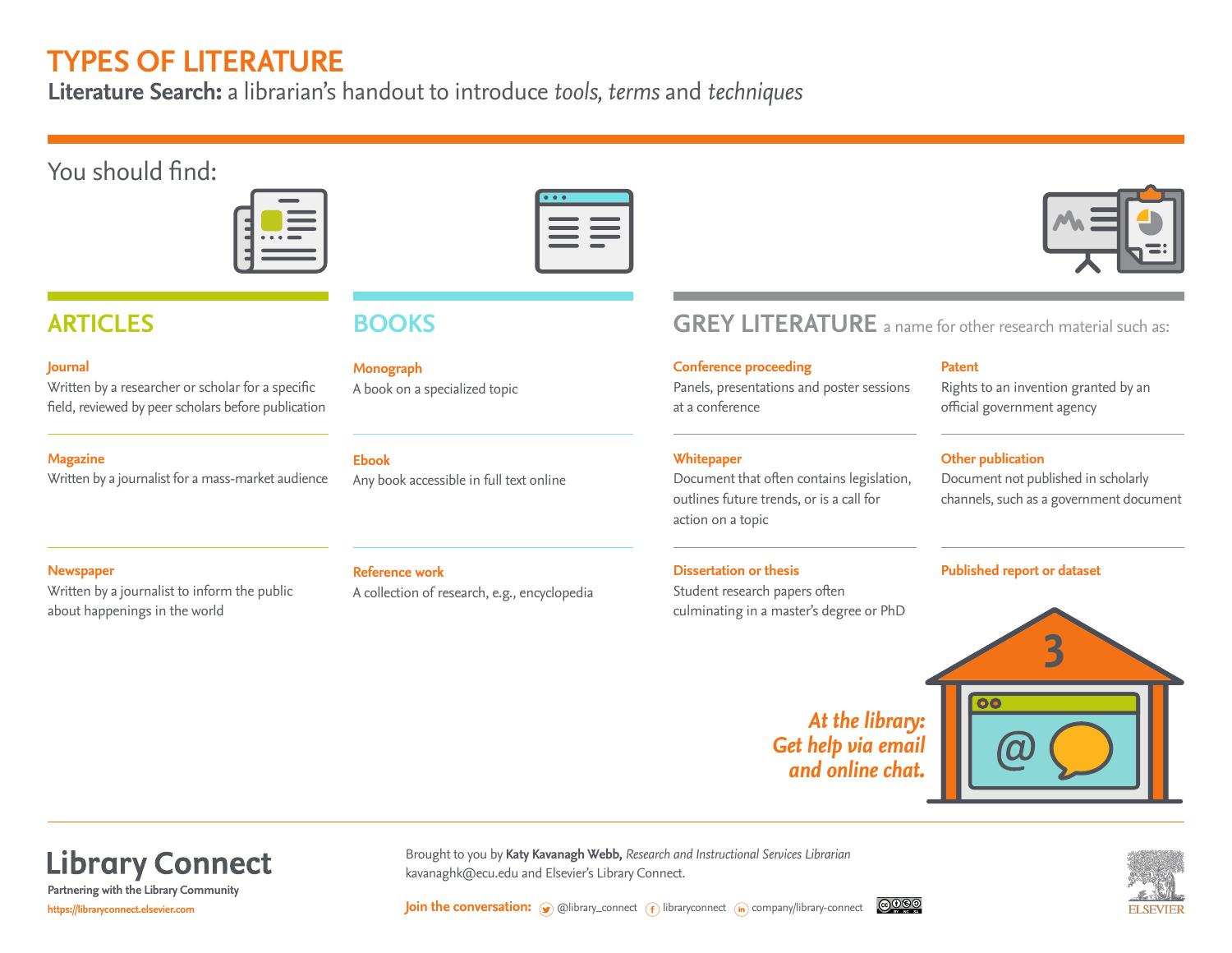## **TYPES OF LITERATURE**

**Literature Search:** a librarian's handout to introduce *tools, terms* and *techniques*

### You should find:



#### **Journal**

Written by a researcher or scholar for a specific field, reviewed by peer scholars before publication

#### **Magazine**

Written by a journalist for a mass-market audience

**Monograph**  A book on a specialized topic

#### **Ebook**

Any book accessible in full text online

## **ARTICLES BOOKS GREY LITERATURE** a name for other research material such as:

#### **Conference proceeding**

Panels, presentations and poster sessions at a conference

#### **Whitepaper**

Document that often contains legislation, outlines future trends, or is a call for action on a topic

#### **Dissertation or thesis**

Student research papers often

#### **Patent**

Rights to an invention granted by an official government agency

### **Other publication**

Document not published in scholarly channels, such as a government document

#### **Newspaper**

Written by a journalist to inform the public about happenings in the world

#### **Reference work**

A collection of research, e.g., encyclopedia

culminating in a master's degree or PhD

### **Published report or dataset**



*At the library: Get help via email and online chat.*

**Library Connect** 

**https://libraryconnect.elsevier.com Partnering with the Library Community**



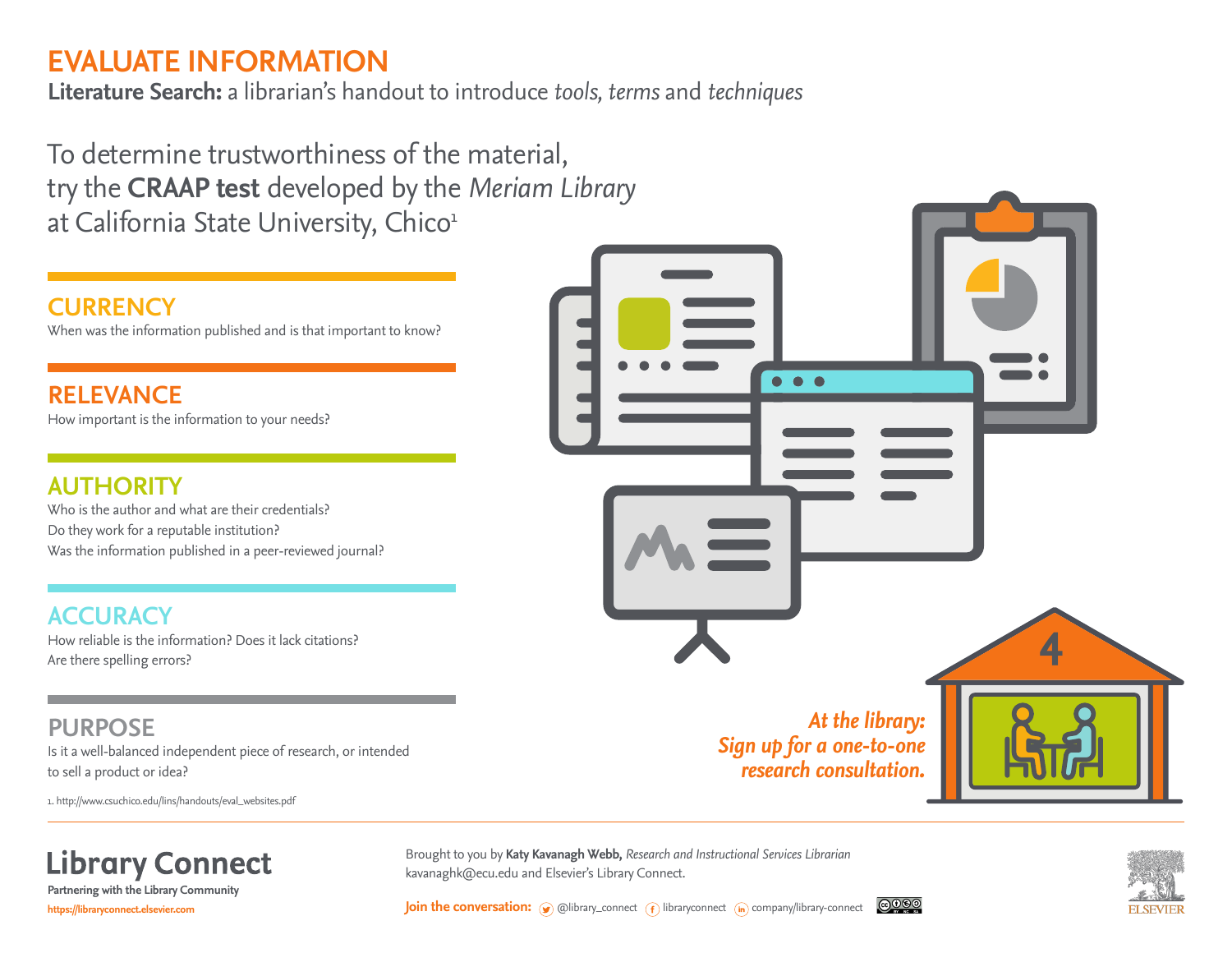# **EVALUATE INFORMATION**

**Literature Search:** a librarian's handout to introduce *tools, terms* and *techniques*

To determine trustworthiness of the material, try the **CRAAP test** developed by the *Meriam Library* at California State University, Chico<sup>1</sup>

### **CURRENCY**

When was the information published and is that important to know?

**RELEVANCE** How important is the information to your needs?

### **AUTHORITY**

Who is the author and what are their credentials? Do they work for a reputable institution? Was the information published in a peer-reviewed journal?

### **ACCURACY**

How reliable is the information? Does it lack citations? Are there spelling errors?

### **PURPOSE**

Is it a well-balanced independent piece of research, or intended to sell a product or idea?

1. http://www.csuchico.edu/lins/handouts/eval\_websites.pdf



**Library Connect Partnering with the Library Community**

**https://libraryconnect.elsevier.com**